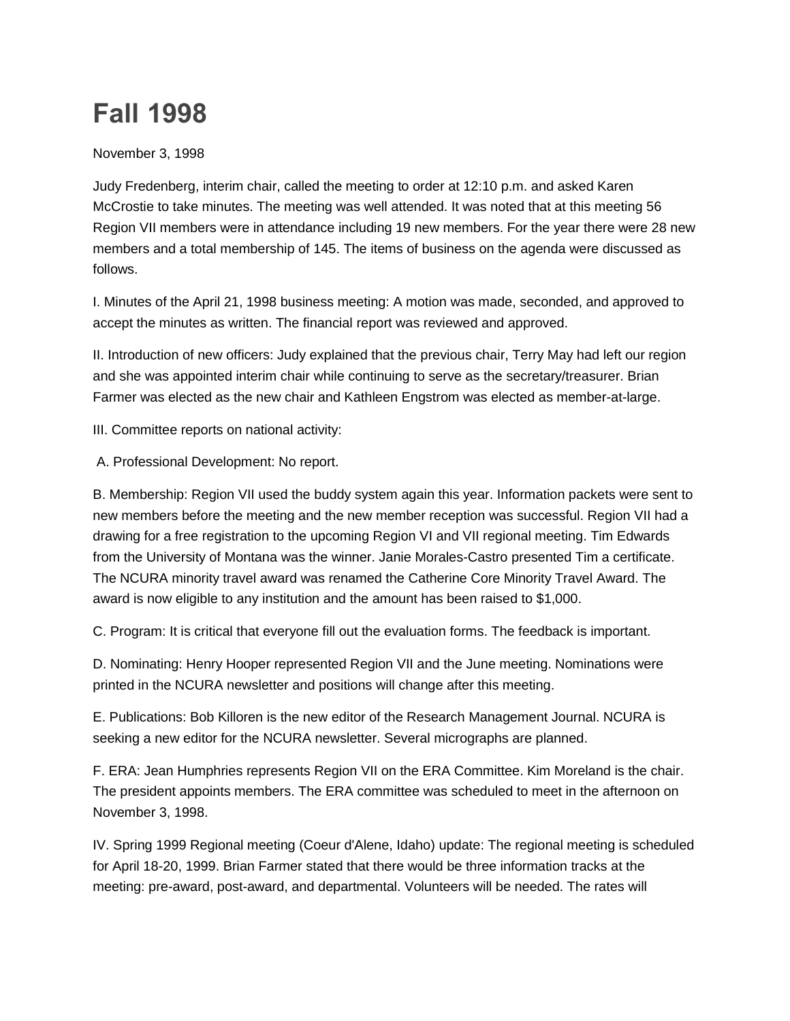## **Fall 1998**

November 3, 1998

Judy Fredenberg, interim chair, called the meeting to order at 12:10 p.m. and asked Karen McCrostie to take minutes. The meeting was well attended. It was noted that at this meeting 56 Region VII members were in attendance including 19 new members. For the year there were 28 new members and a total membership of 145. The items of business on the agenda were discussed as follows.

I. Minutes of the April 21, 1998 business meeting: A motion was made, seconded, and approved to accept the minutes as written. The financial report was reviewed and approved.

II. Introduction of new officers: Judy explained that the previous chair, Terry May had left our region and she was appointed interim chair while continuing to serve as the secretary/treasurer. Brian Farmer was elected as the new chair and Kathleen Engstrom was elected as member-at-large.

III. Committee reports on national activity:

A. Professional Development: No report.

B. Membership: Region VII used the buddy system again this year. Information packets were sent to new members before the meeting and the new member reception was successful. Region VII had a drawing for a free registration to the upcoming Region VI and VII regional meeting. Tim Edwards from the University of Montana was the winner. Janie Morales-Castro presented Tim a certificate. The NCURA minority travel award was renamed the Catherine Core Minority Travel Award. The award is now eligible to any institution and the amount has been raised to \$1,000.

C. Program: It is critical that everyone fill out the evaluation forms. The feedback is important.

D. Nominating: Henry Hooper represented Region VII and the June meeting. Nominations were printed in the NCURA newsletter and positions will change after this meeting.

E. Publications: Bob Killoren is the new editor of the Research Management Journal. NCURA is seeking a new editor for the NCURA newsletter. Several micrographs are planned.

F. ERA: Jean Humphries represents Region VII on the ERA Committee. Kim Moreland is the chair. The president appoints members. The ERA committee was scheduled to meet in the afternoon on November 3, 1998.

IV. Spring 1999 Regional meeting (Coeur d'Alene, Idaho) update: The regional meeting is scheduled for April 18-20, 1999. Brian Farmer stated that there would be three information tracks at the meeting: pre-award, post-award, and departmental. Volunteers will be needed. The rates will